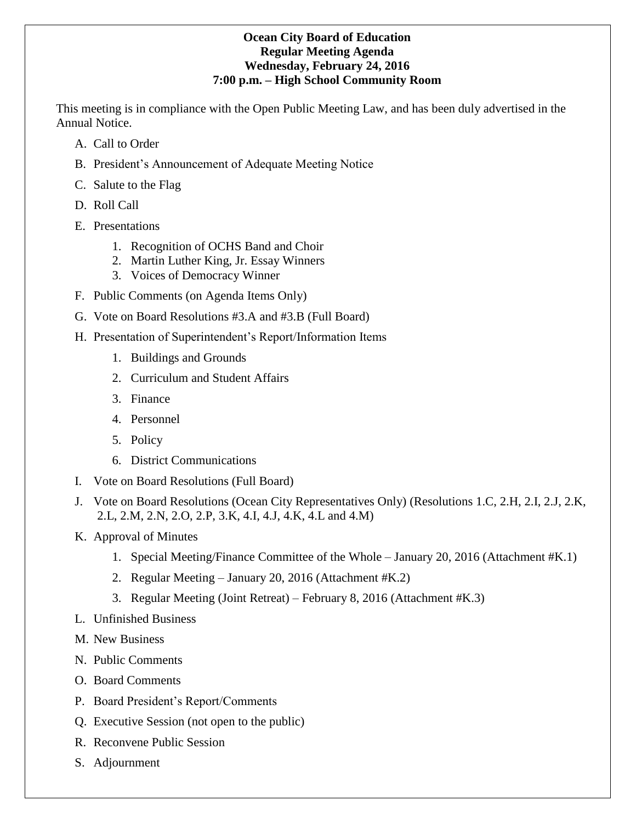## **Ocean City Board of Education Regular Meeting Agenda Wednesday, February 24, 2016 7:00 p.m. – High School Community Room**

This meeting is in compliance with the Open Public Meeting Law, and has been duly advertised in the Annual Notice.

- A. Call to Order
- B. President's Announcement of Adequate Meeting Notice
- C. Salute to the Flag
- D. Roll Call
- E. Presentations
	- 1. Recognition of OCHS Band and Choir
	- 2. Martin Luther King, Jr. Essay Winners
	- 3. Voices of Democracy Winner
- F. Public Comments (on Agenda Items Only)
- G. Vote on Board Resolutions #3.A and #3.B (Full Board)
- H. Presentation of Superintendent's Report/Information Items
	- 1. Buildings and Grounds
	- 2. Curriculum and Student Affairs
	- 3. Finance
	- 4. Personnel
	- 5. Policy
	- 6. District Communications
- I. Vote on Board Resolutions (Full Board)
- J. Vote on Board Resolutions (Ocean City Representatives Only) (Resolutions 1.C, 2.H, 2.I, 2.J, 2.K, 2.L, 2.M, 2.N, 2.O, 2.P, 3.K, 4.I, 4.J, 4.K, 4.L and 4.M)
- K. Approval of Minutes
	- 1. Special Meeting/Finance Committee of the Whole January 20, 2016 (Attachment #K.1)
	- 2. Regular Meeting January 20, 2016 (Attachment #K.2)
	- 3. Regular Meeting (Joint Retreat) February 8, 2016 (Attachment #K.3)
- L. Unfinished Business
- M. New Business
- N. Public Comments
- O. Board Comments
- P. Board President's Report/Comments
- Q. Executive Session (not open to the public)
- R. Reconvene Public Session
- S. Adjournment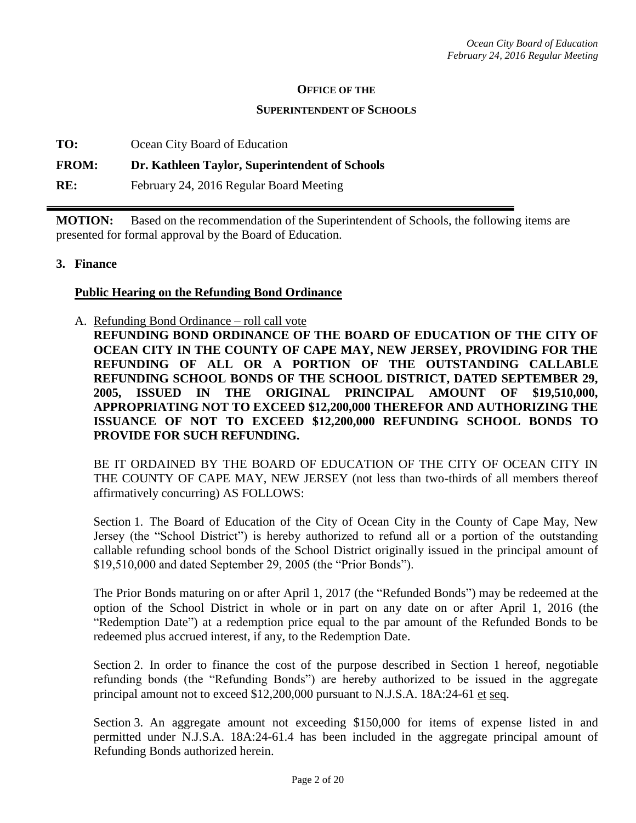### **OFFICE OF THE**

#### **SUPERINTENDENT OF SCHOOLS**

| Ocean City Board of Education |
|-------------------------------|
|                               |

### **FROM: Dr. Kathleen Taylor, Superintendent of Schools**

**RE:** February 24, 2016 Regular Board Meeting

**MOTION:** Based on the recommendation of the Superintendent of Schools, the following items are presented for formal approval by the Board of Education.

### **3. Finance**

### **Public Hearing on the Refunding Bond Ordinance**

A. Refunding Bond Ordinance – roll call vote **REFUNDING BOND ORDINANCE OF THE BOARD OF EDUCATION OF THE CITY OF OCEAN CITY IN THE COUNTY OF CAPE MAY, NEW JERSEY, PROVIDING FOR THE REFUNDING OF ALL OR A PORTION OF THE OUTSTANDING CALLABLE REFUNDING SCHOOL BONDS OF THE SCHOOL DISTRICT, DATED SEPTEMBER 29, 2005, ISSUED IN THE ORIGINAL PRINCIPAL AMOUNT OF \$19,510,000, APPROPRIATING NOT TO EXCEED \$12,200,000 THEREFOR AND AUTHORIZING THE ISSUANCE OF NOT TO EXCEED \$12,200,000 REFUNDING SCHOOL BONDS TO PROVIDE FOR SUCH REFUNDING.**

BE IT ORDAINED BY THE BOARD OF EDUCATION OF THE CITY OF OCEAN CITY IN THE COUNTY OF CAPE MAY, NEW JERSEY (not less than two-thirds of all members thereof affirmatively concurring) AS FOLLOWS:

Section 1. The Board of Education of the City of Ocean City in the County of Cape May, New Jersey (the "School District") is hereby authorized to refund all or a portion of the outstanding callable refunding school bonds of the School District originally issued in the principal amount of \$19,510,000 and dated September 29, 2005 (the "Prior Bonds").

The Prior Bonds maturing on or after April 1, 2017 (the "Refunded Bonds") may be redeemed at the option of the School District in whole or in part on any date on or after April 1, 2016 (the "Redemption Date") at a redemption price equal to the par amount of the Refunded Bonds to be redeemed plus accrued interest, if any, to the Redemption Date.

Section 2. In order to finance the cost of the purpose described in Section 1 hereof, negotiable refunding bonds (the "Refunding Bonds") are hereby authorized to be issued in the aggregate principal amount not to exceed \$12,200,000 pursuant to N.J.S.A. 18A:24-61 et seq.

Section 3. An aggregate amount not exceeding \$150,000 for items of expense listed in and permitted under N.J.S.A. 18A:24-61.4 has been included in the aggregate principal amount of Refunding Bonds authorized herein.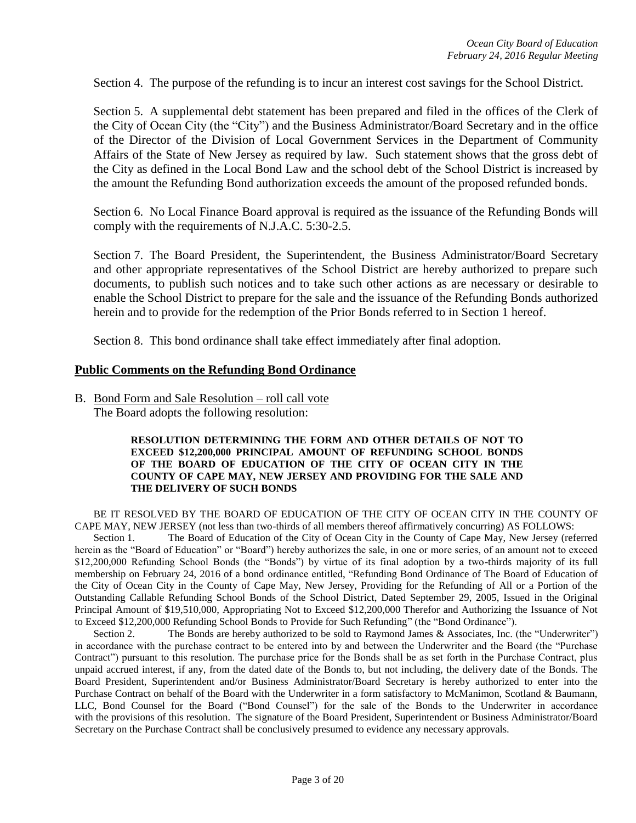Section 4. The purpose of the refunding is to incur an interest cost savings for the School District.

Section 5. A supplemental debt statement has been prepared and filed in the offices of the Clerk of the City of Ocean City (the "City") and the Business Administrator/Board Secretary and in the office of the Director of the Division of Local Government Services in the Department of Community Affairs of the State of New Jersey as required by law. Such statement shows that the gross debt of the City as defined in the Local Bond Law and the school debt of the School District is increased by the amount the Refunding Bond authorization exceeds the amount of the proposed refunded bonds.

Section 6. No Local Finance Board approval is required as the issuance of the Refunding Bonds will comply with the requirements of N.J.A.C. 5:30-2.5.

Section 7. The Board President, the Superintendent, the Business Administrator/Board Secretary and other appropriate representatives of the School District are hereby authorized to prepare such documents, to publish such notices and to take such other actions as are necessary or desirable to enable the School District to prepare for the sale and the issuance of the Refunding Bonds authorized herein and to provide for the redemption of the Prior Bonds referred to in Section 1 hereof.

Section 8. This bond ordinance shall take effect immediately after final adoption.

### **Public Comments on the Refunding Bond Ordinance**

B. Bond Form and Sale Resolution – roll call vote The Board adopts the following resolution:

#### **RESOLUTION DETERMINING THE FORM AND OTHER DETAILS OF NOT TO EXCEED \$12,200,000 PRINCIPAL AMOUNT OF REFUNDING SCHOOL BONDS OF THE BOARD OF EDUCATION OF THE CITY OF OCEAN CITY IN THE COUNTY OF CAPE MAY, NEW JERSEY AND PROVIDING FOR THE SALE AND THE DELIVERY OF SUCH BONDS**

BE IT RESOLVED BY THE BOARD OF EDUCATION OF THE CITY OF OCEAN CITY IN THE COUNTY OF CAPE MAY, NEW JERSEY (not less than two-thirds of all members thereof affirmatively concurring) AS FOLLOWS:

Section 1. The Board of Education of the City of Ocean City in the County of Cape May, New Jersey (referred herein as the "Board of Education" or "Board") hereby authorizes the sale, in one or more series, of an amount not to exceed \$12,200,000 Refunding School Bonds (the "Bonds") by virtue of its final adoption by a two-thirds majority of its full membership on February 24, 2016 of a bond ordinance entitled, "Refunding Bond Ordinance of The Board of Education of the City of Ocean City in the County of Cape May, New Jersey, Providing for the Refunding of All or a Portion of the Outstanding Callable Refunding School Bonds of the School District, Dated September 29, 2005, Issued in the Original Principal Amount of \$19,510,000, Appropriating Not to Exceed \$12,200,000 Therefor and Authorizing the Issuance of Not to Exceed \$12,200,000 Refunding School Bonds to Provide for Such Refunding" (the "Bond Ordinance").

Section 2. The Bonds are hereby authorized to be sold to Raymond James & Associates, Inc. (the "Underwriter") in accordance with the purchase contract to be entered into by and between the Underwriter and the Board (the "Purchase Contract") pursuant to this resolution. The purchase price for the Bonds shall be as set forth in the Purchase Contract, plus unpaid accrued interest, if any, from the dated date of the Bonds to, but not including, the delivery date of the Bonds. The Board President, Superintendent and/or Business Administrator/Board Secretary is hereby authorized to enter into the Purchase Contract on behalf of the Board with the Underwriter in a form satisfactory to McManimon, Scotland & Baumann, LLC, Bond Counsel for the Board ("Bond Counsel") for the sale of the Bonds to the Underwriter in accordance with the provisions of this resolution. The signature of the Board President, Superintendent or Business Administrator/Board Secretary on the Purchase Contract shall be conclusively presumed to evidence any necessary approvals.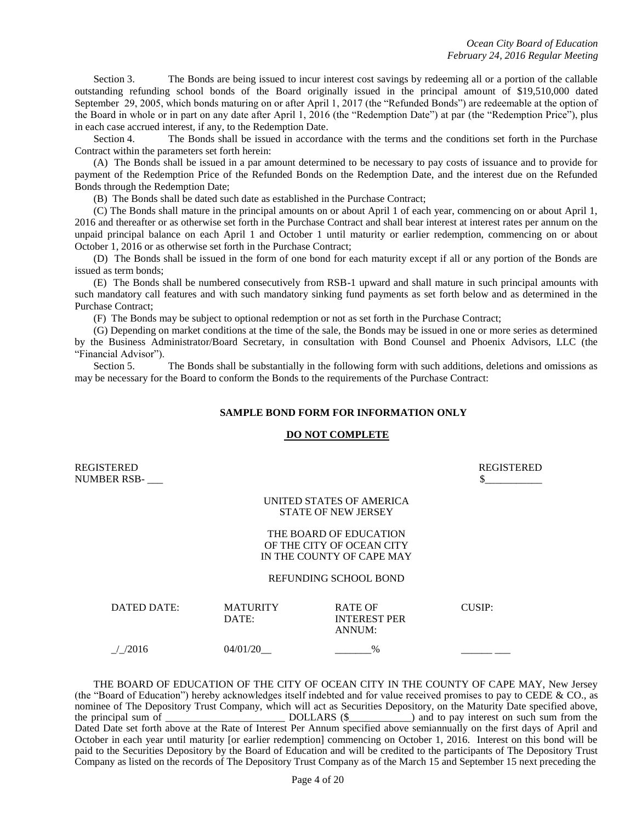Section 3. The Bonds are being issued to incur interest cost savings by redeeming all or a portion of the callable outstanding refunding school bonds of the Board originally issued in the principal amount of \$19,510,000 dated September 29, 2005, which bonds maturing on or after April 1, 2017 (the "Refunded Bonds") are redeemable at the option of the Board in whole or in part on any date after April 1, 2016 (the "Redemption Date") at par (the "Redemption Price"), plus in each case accrued interest, if any, to the Redemption Date.

Section 4. The Bonds shall be issued in accordance with the terms and the conditions set forth in the Purchase Contract within the parameters set forth herein:

(A) The Bonds shall be issued in a par amount determined to be necessary to pay costs of issuance and to provide for payment of the Redemption Price of the Refunded Bonds on the Redemption Date, and the interest due on the Refunded Bonds through the Redemption Date;

(B) The Bonds shall be dated such date as established in the Purchase Contract;

(C) The Bonds shall mature in the principal amounts on or about April 1 of each year, commencing on or about April 1, 2016 and thereafter or as otherwise set forth in the Purchase Contract and shall bear interest at interest rates per annum on the unpaid principal balance on each April 1 and October 1 until maturity or earlier redemption, commencing on or about October 1, 2016 or as otherwise set forth in the Purchase Contract;

(D) The Bonds shall be issued in the form of one bond for each maturity except if all or any portion of the Bonds are issued as term bonds;

(E) The Bonds shall be numbered consecutively from RSB-1 upward and shall mature in such principal amounts with such mandatory call features and with such mandatory sinking fund payments as set forth below and as determined in the Purchase Contract;

(F) The Bonds may be subject to optional redemption or not as set forth in the Purchase Contract;

(G) Depending on market conditions at the time of the sale, the Bonds may be issued in one or more series as determined by the Business Administrator/Board Secretary, in consultation with Bond Counsel and Phoenix Advisors, LLC (the "Financial Advisor").

Section 5. The Bonds shall be substantially in the following form with such additions, deletions and omissions as may be necessary for the Board to conform the Bonds to the requirements of the Purchase Contract:

#### **SAMPLE BOND FORM FOR INFORMATION ONLY**

#### **DO NOT COMPLETE**

REGISTERED REGISTERED NUMBER RSB-

#### UNITED STATES OF AMERICA STATE OF NEW JERSEY

#### THE BOARD OF EDUCATION OF THE CITY OF OCEAN CITY IN THE COUNTY OF CAPE MAY

#### REFUNDING SCHOOL BOND

| DATED DATE: | <b>MATURITY</b><br>DATE: | <b>RATE OF</b><br><b>INTEREST PER</b><br>ANNUM: | CUSIP: |
|-------------|--------------------------|-------------------------------------------------|--------|
| /2016       | 04/01/20                 | $\%$                                            |        |

THE BOARD OF EDUCATION OF THE CITY OF OCEAN CITY IN THE COUNTY OF CAPE MAY, New Jersey (the "Board of Education") hereby acknowledges itself indebted and for value received promises to pay to CEDE & CO., as nominee of The Depository Trust Company, which will act as Securities Depository, on the Maturity Date specified above, the principal sum of \_\_\_\_\_\_\_\_\_\_\_\_\_\_\_\_\_\_\_\_\_\_\_ DOLLARS (\$\_\_\_\_\_\_\_\_\_\_\_\_) and to pay interest on such sum from the Dated Date set forth above at the Rate of Interest Per Annum specified above semiannually on the first days of April and October in each year until maturity [or earlier redemption] commencing on October 1, 2016. Interest on this bond will be paid to the Securities Depository by the Board of Education and will be credited to the participants of The Depository Trust Company as listed on the records of The Depository Trust Company as of the March 15 and September 15 next preceding the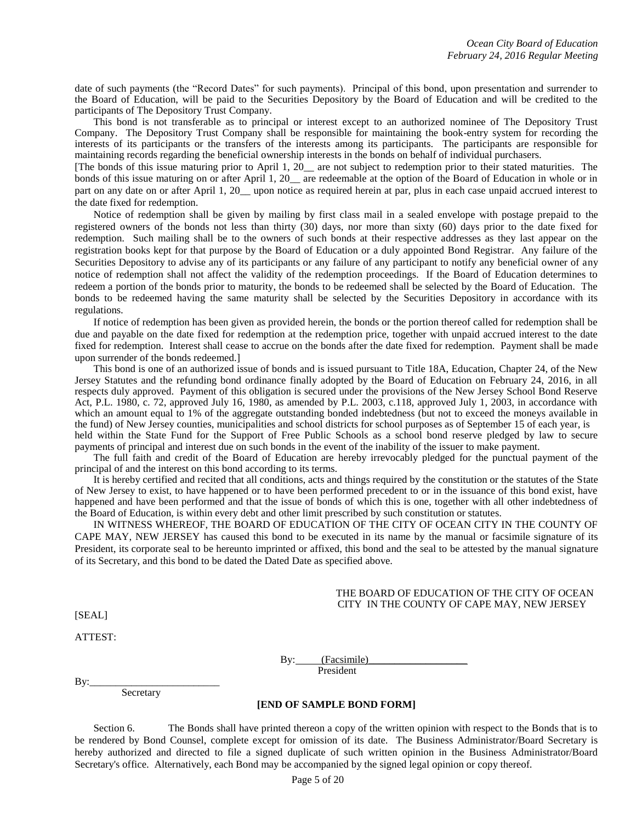date of such payments (the "Record Dates" for such payments). Principal of this bond, upon presentation and surrender to the Board of Education, will be paid to the Securities Depository by the Board of Education and will be credited to the participants of The Depository Trust Company.

This bond is not transferable as to principal or interest except to an authorized nominee of The Depository Trust Company. The Depository Trust Company shall be responsible for maintaining the book-entry system for recording the interests of its participants or the transfers of the interests among its participants. The participants are responsible for maintaining records regarding the beneficial ownership interests in the bonds on behalf of individual purchasers.

[The bonds of this issue maturing prior to April 1, 20\_\_ are not subject to redemption prior to their stated maturities. The bonds of this issue maturing on or after April 1, 20\_\_ are redeemable at the option of the Board of Education in whole or in part on any date on or after April 1, 20 upon notice as required herein at par, plus in each case unpaid accrued interest to the date fixed for redemption.

Notice of redemption shall be given by mailing by first class mail in a sealed envelope with postage prepaid to the registered owners of the bonds not less than thirty (30) days, nor more than sixty (60) days prior to the date fixed for redemption. Such mailing shall be to the owners of such bonds at their respective addresses as they last appear on the registration books kept for that purpose by the Board of Education or a duly appointed Bond Registrar. Any failure of the Securities Depository to advise any of its participants or any failure of any participant to notify any beneficial owner of any notice of redemption shall not affect the validity of the redemption proceedings. If the Board of Education determines to redeem a portion of the bonds prior to maturity, the bonds to be redeemed shall be selected by the Board of Education. The bonds to be redeemed having the same maturity shall be selected by the Securities Depository in accordance with its regulations.

If notice of redemption has been given as provided herein, the bonds or the portion thereof called for redemption shall be due and payable on the date fixed for redemption at the redemption price, together with unpaid accrued interest to the date fixed for redemption. Interest shall cease to accrue on the bonds after the date fixed for redemption. Payment shall be made upon surrender of the bonds redeemed.]

This bond is one of an authorized issue of bonds and is issued pursuant to Title 18A, Education, Chapter 24, of the New Jersey Statutes and the refunding bond ordinance finally adopted by the Board of Education on February 24, 2016, in all respects duly approved. Payment of this obligation is secured under the provisions of the New Jersey School Bond Reserve Act, P.L. 1980, c. 72, approved July 16, 1980, as amended by P.L. 2003, c.118, approved July 1, 2003, in accordance with which an amount equal to 1% of the aggregate outstanding bonded indebtedness (but not to exceed the moneys available in the fund) of New Jersey counties, municipalities and school districts for school purposes as of September 15 of each year, is held within the State Fund for the Support of Free Public Schools as a school bond reserve pledged by law to secure payments of principal and interest due on such bonds in the event of the inability of the issuer to make payment.

The full faith and credit of the Board of Education are hereby irrevocably pledged for the punctual payment of the principal of and the interest on this bond according to its terms.

It is hereby certified and recited that all conditions, acts and things required by the constitution or the statutes of the State of New Jersey to exist, to have happened or to have been performed precedent to or in the issuance of this bond exist, have happened and have been performed and that the issue of bonds of which this is one, together with all other indebtedness of the Board of Education, is within every debt and other limit prescribed by such constitution or statutes.

IN WITNESS WHEREOF, THE BOARD OF EDUCATION OF THE CITY OF OCEAN CITY IN THE COUNTY OF CAPE MAY, NEW JERSEY has caused this bond to be executed in its name by the manual or facsimile signature of its President, its corporate seal to be hereunto imprinted or affixed, this bond and the seal to be attested by the manual signature of its Secretary, and this bond to be dated the Dated Date as specified above.

#### THE BOARD OF EDUCATION OF THE CITY OF OCEAN CITY IN THE COUNTY OF CAPE MAY, NEW JERSEY

[SEAL]

ATTEST:

By: (Facsimile) President

 $By:$ 

Secretary

#### **[END OF SAMPLE BOND FORM]**

Section 6. The Bonds shall have printed thereon a copy of the written opinion with respect to the Bonds that is to be rendered by Bond Counsel, complete except for omission of its date. The Business Administrator/Board Secretary is hereby authorized and directed to file a signed duplicate of such written opinion in the Business Administrator/Board Secretary's office. Alternatively, each Bond may be accompanied by the signed legal opinion or copy thereof.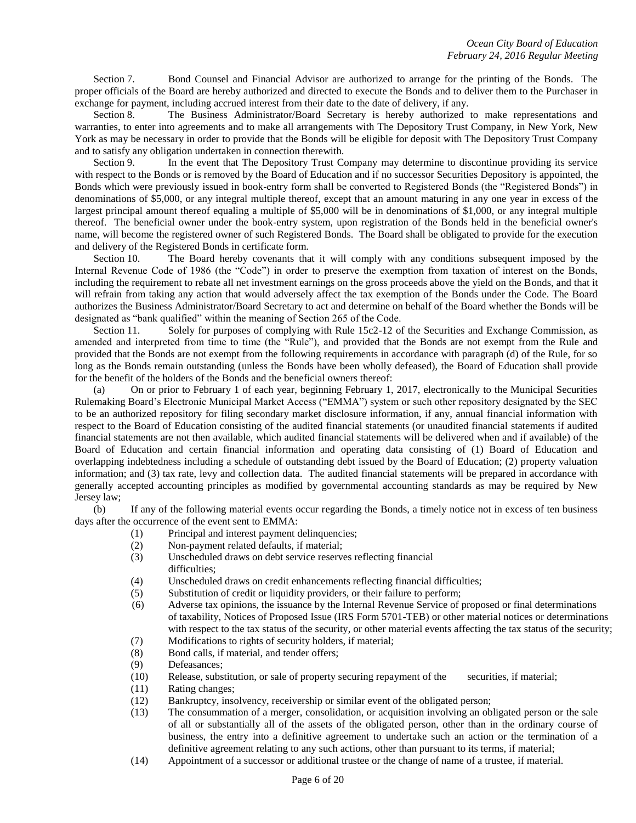Section 7. Bond Counsel and Financial Advisor are authorized to arrange for the printing of the Bonds. The proper officials of the Board are hereby authorized and directed to execute the Bonds and to deliver them to the Purchaser in exchange for payment, including accrued interest from their date to the date of delivery, if any.

Section 8. The Business Administrator/Board Secretary is hereby authorized to make representations and warranties, to enter into agreements and to make all arrangements with The Depository Trust Company, in New York, New York as may be necessary in order to provide that the Bonds will be eligible for deposit with The Depository Trust Company and to satisfy any obligation undertaken in connection therewith.

Section 9. In the event that The Depository Trust Company may determine to discontinue providing its service with respect to the Bonds or is removed by the Board of Education and if no successor Securities Depository is appointed, the Bonds which were previously issued in book-entry form shall be converted to Registered Bonds (the "Registered Bonds") in denominations of \$5,000, or any integral multiple thereof, except that an amount maturing in any one year in excess of the largest principal amount thereof equaling a multiple of \$5,000 will be in denominations of \$1,000, or any integral multiple thereof. The beneficial owner under the book-entry system, upon registration of the Bonds held in the beneficial owner's name, will become the registered owner of such Registered Bonds. The Board shall be obligated to provide for the execution and delivery of the Registered Bonds in certificate form.

Section 10. The Board hereby covenants that it will comply with any conditions subsequent imposed by the Internal Revenue Code of 1986 (the "Code") in order to preserve the exemption from taxation of interest on the Bonds, including the requirement to rebate all net investment earnings on the gross proceeds above the yield on the Bonds, and that it will refrain from taking any action that would adversely affect the tax exemption of the Bonds under the Code. The Board authorizes the Business Administrator/Board Secretary to act and determine on behalf of the Board whether the Bonds will be designated as "bank qualified" within the meaning of Section 265 of the Code.

Section 11. Solely for purposes of complying with Rule 15c2-12 of the Securities and Exchange Commission, as amended and interpreted from time to time (the "Rule"), and provided that the Bonds are not exempt from the Rule and provided that the Bonds are not exempt from the following requirements in accordance with paragraph (d) of the Rule, for so long as the Bonds remain outstanding (unless the Bonds have been wholly defeased), the Board of Education shall provide for the benefit of the holders of the Bonds and the beneficial owners thereof:

(a) On or prior to February 1 of each year, beginning February 1, 2017, electronically to the Municipal Securities Rulemaking Board's Electronic Municipal Market Access ("EMMA") system or such other repository designated by the SEC to be an authorized repository for filing secondary market disclosure information, if any, annual financial information with respect to the Board of Education consisting of the audited financial statements (or unaudited financial statements if audited financial statements are not then available, which audited financial statements will be delivered when and if available) of the Board of Education and certain financial information and operating data consisting of (1) Board of Education and overlapping indebtedness including a schedule of outstanding debt issued by the Board of Education; (2) property valuation information; and (3) tax rate, levy and collection data. The audited financial statements will be prepared in accordance with generally accepted accounting principles as modified by governmental accounting standards as may be required by New Jersey law;

(b) If any of the following material events occur regarding the Bonds, a timely notice not in excess of ten business days after the occurrence of the event sent to EMMA:

- (1) Principal and interest payment delinquencies;
- (2) Non-payment related defaults, if material;
- (3) Unscheduled draws on debt service reserves reflecting financial difficulties;
- (4) Unscheduled draws on credit enhancements reflecting financial difficulties;
- (5) Substitution of credit or liquidity providers, or their failure to perform;
- (6) Adverse tax opinions, the issuance by the Internal Revenue Service of proposed or final determinations of taxability, Notices of Proposed Issue (IRS Form 5701-TEB) or other material notices or determinations with respect to the tax status of the security, or other material events affecting the tax status of the security;
- (7) Modifications to rights of security holders, if material;
- (8) Bond calls, if material, and tender offers;
- (9) Defeasances;
- (10) Release, substitution, or sale of property securing repayment of the securities, if material;
- (11) Rating changes;
- (12) Bankruptcy, insolvency, receivership or similar event of the obligated person;
- (13) The consummation of a merger, consolidation, or acquisition involving an obligated person or the sale of all or substantially all of the assets of the obligated person, other than in the ordinary course of business, the entry into a definitive agreement to undertake such an action or the termination of a definitive agreement relating to any such actions, other than pursuant to its terms, if material;
- (14) Appointment of a successor or additional trustee or the change of name of a trustee, if material.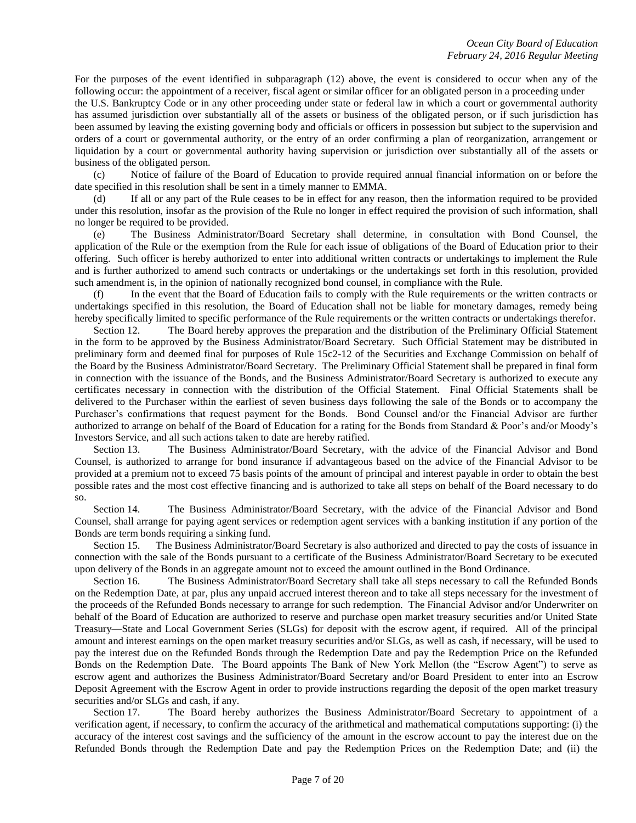For the purposes of the event identified in subparagraph (12) above, the event is considered to occur when any of the following occur: the appointment of a receiver, fiscal agent or similar officer for an obligated person in a proceeding under

the U.S. Bankruptcy Code or in any other proceeding under state or federal law in which a court or governmental authority has assumed jurisdiction over substantially all of the assets or business of the obligated person, or if such jurisdiction has been assumed by leaving the existing governing body and officials or officers in possession but subject to the supervision and orders of a court or governmental authority, or the entry of an order confirming a plan of reorganization, arrangement or liquidation by a court or governmental authority having supervision or jurisdiction over substantially all of the assets or business of the obligated person.

(c) Notice of failure of the Board of Education to provide required annual financial information on or before the date specified in this resolution shall be sent in a timely manner to EMMA.

(d) If all or any part of the Rule ceases to be in effect for any reason, then the information required to be provided under this resolution, insofar as the provision of the Rule no longer in effect required the provision of such information, shall no longer be required to be provided.

(e) The Business Administrator/Board Secretary shall determine, in consultation with Bond Counsel, the application of the Rule or the exemption from the Rule for each issue of obligations of the Board of Education prior to their offering. Such officer is hereby authorized to enter into additional written contracts or undertakings to implement the Rule and is further authorized to amend such contracts or undertakings or the undertakings set forth in this resolution, provided such amendment is, in the opinion of nationally recognized bond counsel, in compliance with the Rule.

(f) In the event that the Board of Education fails to comply with the Rule requirements or the written contracts or undertakings specified in this resolution, the Board of Education shall not be liable for monetary damages, remedy being hereby specifically limited to specific performance of the Rule requirements or the written contracts or undertakings therefor.

Section 12. The Board hereby approves the preparation and the distribution of the Preliminary Official Statement in the form to be approved by the Business Administrator/Board Secretary. Such Official Statement may be distributed in preliminary form and deemed final for purposes of Rule 15c2-12 of the Securities and Exchange Commission on behalf of the Board by the Business Administrator/Board Secretary. The Preliminary Official Statement shall be prepared in final form in connection with the issuance of the Bonds, and the Business Administrator/Board Secretary is authorized to execute any certificates necessary in connection with the distribution of the Official Statement. Final Official Statements shall be delivered to the Purchaser within the earliest of seven business days following the sale of the Bonds or to accompany the Purchaser's confirmations that request payment for the Bonds. Bond Counsel and/or the Financial Advisor are further authorized to arrange on behalf of the Board of Education for a rating for the Bonds from Standard & Poor's and/or Moody's Investors Service, and all such actions taken to date are hereby ratified.

Section 13. The Business Administrator/Board Secretary, with the advice of the Financial Advisor and Bond Counsel, is authorized to arrange for bond insurance if advantageous based on the advice of the Financial Advisor to be provided at a premium not to exceed 75 basis points of the amount of principal and interest payable in order to obtain the best possible rates and the most cost effective financing and is authorized to take all steps on behalf of the Board necessary to do so.

Section 14. The Business Administrator/Board Secretary, with the advice of the Financial Advisor and Bond Counsel, shall arrange for paying agent services or redemption agent services with a banking institution if any portion of the Bonds are term bonds requiring a sinking fund.

Section 15. The Business Administrator/Board Secretary is also authorized and directed to pay the costs of issuance in connection with the sale of the Bonds pursuant to a certificate of the Business Administrator/Board Secretary to be executed upon delivery of the Bonds in an aggregate amount not to exceed the amount outlined in the Bond Ordinance.

Section 16. The Business Administrator/Board Secretary shall take all steps necessary to call the Refunded Bonds on the Redemption Date, at par, plus any unpaid accrued interest thereon and to take all steps necessary for the investment of the proceeds of the Refunded Bonds necessary to arrange for such redemption. The Financial Advisor and/or Underwriter on behalf of the Board of Education are authorized to reserve and purchase open market treasury securities and/or United State Treasury—State and Local Government Series (SLGs) for deposit with the escrow agent, if required. All of the principal amount and interest earnings on the open market treasury securities and/or SLGs, as well as cash, if necessary, will be used to pay the interest due on the Refunded Bonds through the Redemption Date and pay the Redemption Price on the Refunded Bonds on the Redemption Date. The Board appoints The Bank of New York Mellon (the "Escrow Agent") to serve as escrow agent and authorizes the Business Administrator/Board Secretary and/or Board President to enter into an Escrow Deposit Agreement with the Escrow Agent in order to provide instructions regarding the deposit of the open market treasury securities and/or SLGs and cash, if any.

Section 17. The Board hereby authorizes the Business Administrator/Board Secretary to appointment of a verification agent, if necessary, to confirm the accuracy of the arithmetical and mathematical computations supporting: (i) the accuracy of the interest cost savings and the sufficiency of the amount in the escrow account to pay the interest due on the Refunded Bonds through the Redemption Date and pay the Redemption Prices on the Redemption Date; and (ii) the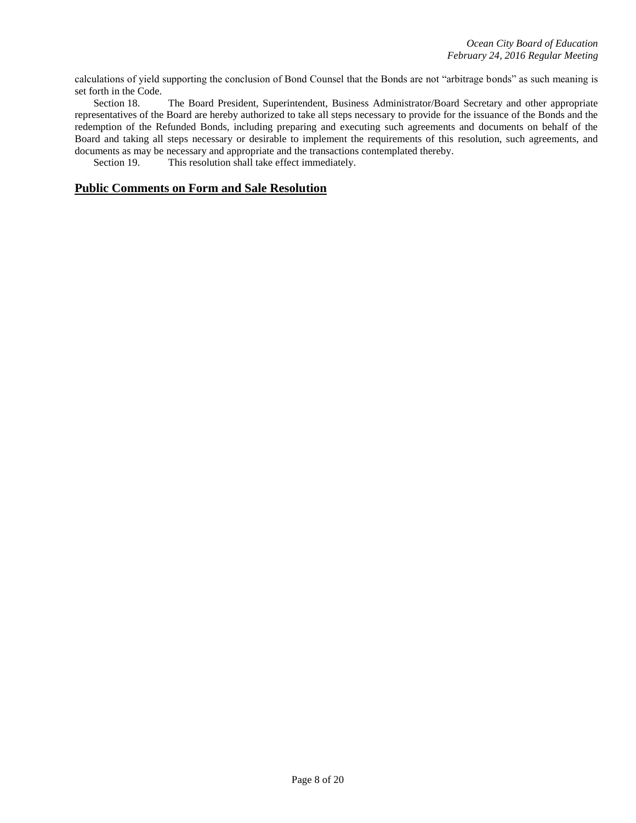calculations of yield supporting the conclusion of Bond Counsel that the Bonds are not "arbitrage bonds" as such meaning is set forth in the Code.

Section 18. The Board President, Superintendent, Business Administrator/Board Secretary and other appropriate representatives of the Board are hereby authorized to take all steps necessary to provide for the issuance of the Bonds and the redemption of the Refunded Bonds, including preparing and executing such agreements and documents on behalf of the Board and taking all steps necessary or desirable to implement the requirements of this resolution, such agreements, and documents as may be necessary and appropriate and the transactions contemplated thereby.

Section 19. This resolution shall take effect immediately.

### **Public Comments on Form and Sale Resolution**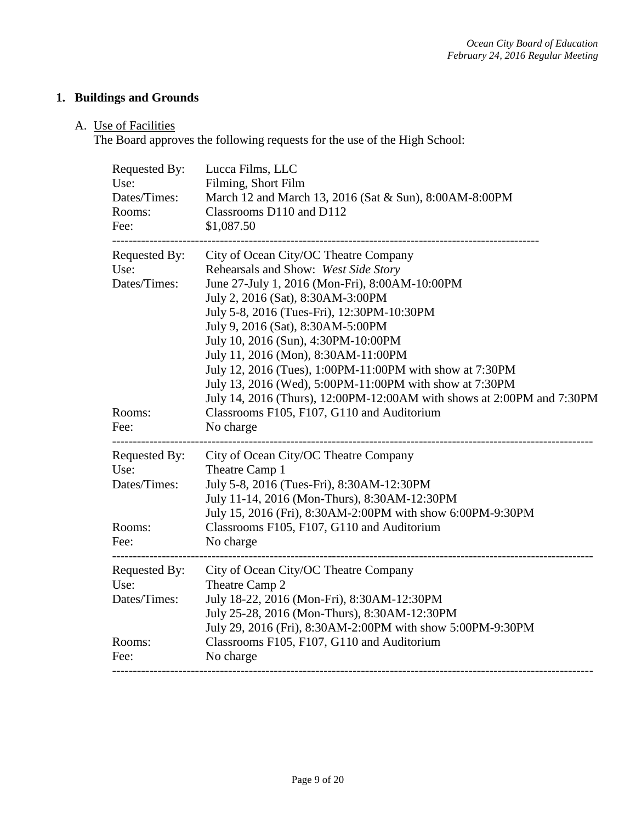## **1. Buildings and Grounds**

## A. Use of Facilities

The Board approves the following requests for the use of the High School:

| Requested By:<br>Use:<br>Dates/Times:<br>Rooms:<br>Fee: | Lucca Films, LLC<br>Filming, Short Film<br>March 12 and March 13, 2016 (Sat & Sun), 8:00AM-8:00PM<br>Classrooms D110 and D112<br>\$1,087.50                                                                                                                                                                                                                                                                                                                                                                                                                                          |  |
|---------------------------------------------------------|--------------------------------------------------------------------------------------------------------------------------------------------------------------------------------------------------------------------------------------------------------------------------------------------------------------------------------------------------------------------------------------------------------------------------------------------------------------------------------------------------------------------------------------------------------------------------------------|--|
| Requested By:<br>Use:<br>Dates/Times:<br>Rooms:         | City of Ocean City/OC Theatre Company<br>Rehearsals and Show: West Side Story<br>June 27-July 1, 2016 (Mon-Fri), 8:00AM-10:00PM<br>July 2, 2016 (Sat), 8:30AM-3:00PM<br>July 5-8, 2016 (Tues-Fri), 12:30PM-10:30PM<br>July 9, 2016 (Sat), 8:30AM-5:00PM<br>July 10, 2016 (Sun), 4:30PM-10:00PM<br>July 11, 2016 (Mon), 8:30AM-11:00PM<br>July 12, 2016 (Tues), 1:00PM-11:00PM with show at 7:30PM<br>July 13, 2016 (Wed), 5:00PM-11:00PM with show at 7:30PM<br>July 14, 2016 (Thurs), 12:00PM-12:00AM with shows at 2:00PM and 7:30PM<br>Classrooms F105, F107, G110 and Auditorium |  |
| Fee:                                                    | No charge                                                                                                                                                                                                                                                                                                                                                                                                                                                                                                                                                                            |  |
| Requested By:<br>Use:<br>Dates/Times:                   | City of Ocean City/OC Theatre Company<br>Theatre Camp 1<br>July 5-8, 2016 (Tues-Fri), 8:30AM-12:30PM<br>July 11-14, 2016 (Mon-Thurs), 8:30AM-12:30PM                                                                                                                                                                                                                                                                                                                                                                                                                                 |  |
| Rooms:<br>Fee:                                          | July 15, 2016 (Fri), 8:30AM-2:00PM with show 6:00PM-9:30PM<br>Classrooms F105, F107, G110 and Auditorium<br>No charge                                                                                                                                                                                                                                                                                                                                                                                                                                                                |  |
| Requested By:<br>Use:<br>Dates/Times:                   | City of Ocean City/OC Theatre Company<br>Theatre Camp 2<br>July 18-22, 2016 (Mon-Fri), 8:30AM-12:30PM<br>July 25-28, 2016 (Mon-Thurs), 8:30AM-12:30PM<br>July 29, 2016 (Fri), 8:30AM-2:00PM with show 5:00PM-9:30PM                                                                                                                                                                                                                                                                                                                                                                  |  |
| Rooms:<br>Fee:                                          | Classrooms F105, F107, G110 and Auditorium<br>No charge                                                                                                                                                                                                                                                                                                                                                                                                                                                                                                                              |  |
|                                                         |                                                                                                                                                                                                                                                                                                                                                                                                                                                                                                                                                                                      |  |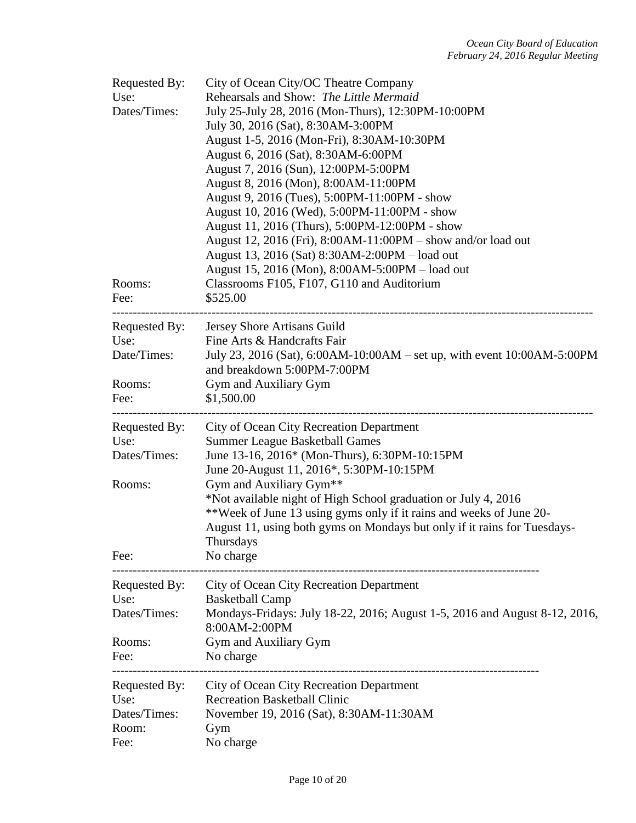| Requested By:<br>Use:<br>Dates/Times:<br>Rooms:<br>Fee: | City of Ocean City/OC Theatre Company<br>Rehearsals and Show: The Little Mermaid<br>July 25-July 28, 2016 (Mon-Thurs), 12:30PM-10:00PM<br>July 30, 2016 (Sat), 8:30AM-3:00PM<br>August 1-5, 2016 (Mon-Fri), 8:30AM-10:30PM<br>August 6, 2016 (Sat), 8:30AM-6:00PM<br>August 7, 2016 (Sun), 12:00PM-5:00PM<br>August 8, 2016 (Mon), 8:00AM-11:00PM<br>August 9, 2016 (Tues), 5:00PM-11:00PM - show<br>August 10, 2016 (Wed), 5:00PM-11:00PM - show<br>August 11, 2016 (Thurs), 5:00PM-12:00PM - show<br>August 12, 2016 (Fri), 8:00AM-11:00PM – show and/or load out<br>August 13, 2016 (Sat) 8:30AM-2:00PM - load out<br>August 15, 2016 (Mon), 8:00AM-5:00PM - load out<br>Classrooms F105, F107, G110 and Auditorium<br>\$525.00 |  |  |
|---------------------------------------------------------|------------------------------------------------------------------------------------------------------------------------------------------------------------------------------------------------------------------------------------------------------------------------------------------------------------------------------------------------------------------------------------------------------------------------------------------------------------------------------------------------------------------------------------------------------------------------------------------------------------------------------------------------------------------------------------------------------------------------------------|--|--|
| Requested By:<br>Use:<br>Date/Times:<br>Rooms:<br>Fee:  | Jersey Shore Artisans Guild<br>Fine Arts & Handcrafts Fair<br>July 23, 2016 (Sat), 6:00AM-10:00AM – set up, with event 10:00AM-5:00PM<br>and breakdown 5:00PM-7:00PM<br>Gym and Auxiliary Gym<br>\$1,500.00                                                                                                                                                                                                                                                                                                                                                                                                                                                                                                                        |  |  |
| Requested By:<br>Use:<br>Dates/Times:<br>Rooms:<br>Fee: | City of Ocean City Recreation Department<br><b>Summer League Basketball Games</b><br>June 13-16, 2016* (Mon-Thurs), 6:30PM-10:15PM<br>June 20-August 11, 2016*, 5:30PM-10:15PM<br>Gym and Auxiliary Gym <sup>**</sup><br>*Not available night of High School graduation or July 4, 2016<br>**Week of June 13 using gyms only if it rains and weeks of June 20-<br>August 11, using both gyms on Mondays but only if it rains for Tuesdays-<br>Thursdays<br>No charge                                                                                                                                                                                                                                                               |  |  |
| Requested By:<br>Use:<br>Dates/Times:<br>Rooms:<br>Fee: | City of Ocean City Recreation Department<br><b>Basketball Camp</b><br>Mondays-Fridays: July 18-22, 2016; August 1-5, 2016 and August 8-12, 2016,<br>8:00AM-2:00PM<br>Gym and Auxiliary Gym<br>No charge                                                                                                                                                                                                                                                                                                                                                                                                                                                                                                                            |  |  |
| Requested By:<br>Use:<br>Dates/Times:<br>Room:<br>Fee:  | City of Ocean City Recreation Department<br><b>Recreation Basketball Clinic</b><br>November 19, 2016 (Sat), 8:30AM-11:30AM<br>Gym<br>No charge                                                                                                                                                                                                                                                                                                                                                                                                                                                                                                                                                                                     |  |  |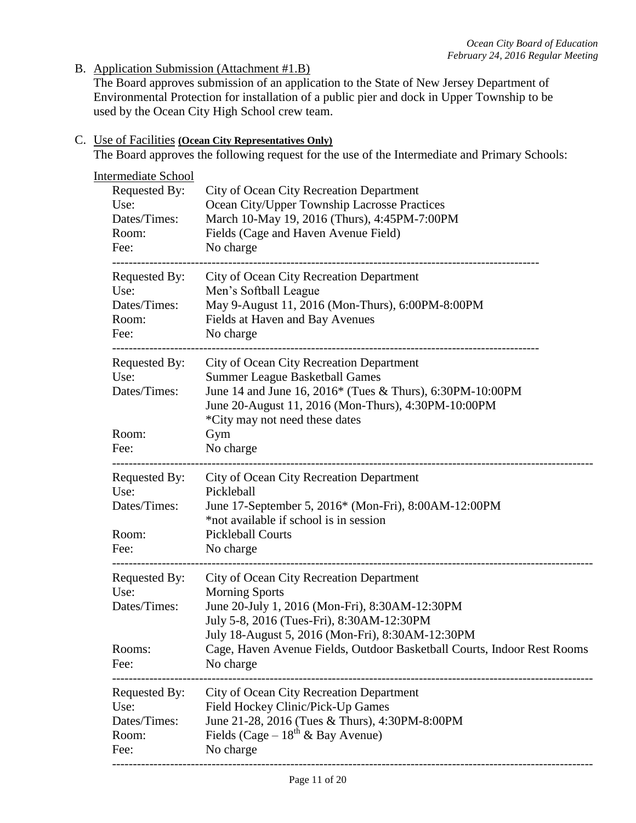B. Application Submission (Attachment #1.B)

The Board approves submission of an application to the State of New Jersey Department of Environmental Protection for installation of a public pier and dock in Upper Township to be used by the Ocean City High School crew team.

## C. Use of Facilities **(Ocean City Representatives Only)**

The Board approves the following request for the use of the Intermediate and Primary Schools:

| Requested By:        |                                                                                                    |  |  |  |
|----------------------|----------------------------------------------------------------------------------------------------|--|--|--|
| Use:                 | City of Ocean City Recreation Department<br>Ocean City/Upper Township Lacrosse Practices           |  |  |  |
| Dates/Times:         | March 10-May 19, 2016 (Thurs), 4:45PM-7:00PM                                                       |  |  |  |
| Room:                | Fields (Cage and Haven Avenue Field)                                                               |  |  |  |
| Fee:                 | No charge                                                                                          |  |  |  |
| Requested By:        | City of Ocean City Recreation Department                                                           |  |  |  |
| Use:<br>Dates/Times: | Men's Softball League<br>May 9-August 11, 2016 (Mon-Thurs), 6:00PM-8:00PM                          |  |  |  |
| Room:                | Fields at Haven and Bay Avenues                                                                    |  |  |  |
| Fee:                 | No charge                                                                                          |  |  |  |
| Requested By:        | City of Ocean City Recreation Department                                                           |  |  |  |
| Use:<br>Dates/Times: | <b>Summer League Basketball Games</b><br>June 14 and June 16, 2016* (Tues & Thurs), 6:30PM-10:00PM |  |  |  |
|                      | June 20-August 11, 2016 (Mon-Thurs), 4:30PM-10:00PM                                                |  |  |  |
|                      | *City may not need these dates                                                                     |  |  |  |
| Room:                | Gym                                                                                                |  |  |  |
| Fee:                 | No charge                                                                                          |  |  |  |
| Requested By:        | City of Ocean City Recreation Department                                                           |  |  |  |
| Use:<br>Dates/Times: | Pickleball<br>June 17-September 5, 2016* (Mon-Fri), 8:00AM-12:00PM                                 |  |  |  |
|                      | *not available if school is in session                                                             |  |  |  |
| Room:                | <b>Pickleball Courts</b>                                                                           |  |  |  |
| Fee:                 | No charge                                                                                          |  |  |  |
| Requested By:        | City of Ocean City Recreation Department                                                           |  |  |  |
| Use:<br>Dates/Times: | <b>Morning Sports</b>                                                                              |  |  |  |
|                      | June 20-July 1, 2016 (Mon-Fri), 8:30AM-12:30PM<br>July 5-8, 2016 (Tues-Fri), 8:30AM-12:30PM        |  |  |  |
|                      | July 18-August 5, 2016 (Mon-Fri), 8:30AM-12:30PM                                                   |  |  |  |
| Rooms:               | Cage, Haven Avenue Fields, Outdoor Basketball Courts, Indoor Rest Rooms                            |  |  |  |
| Fee:                 | No charge                                                                                          |  |  |  |
| Requested By:        | City of Ocean City Recreation Department                                                           |  |  |  |
| Use:                 | Field Hockey Clinic/Pick-Up Games                                                                  |  |  |  |
| Dates/Times:         | June 21-28, 2016 (Tues & Thurs), 4:30PM-8:00PM                                                     |  |  |  |
| Room:<br>Fee:        | Fields (Cage – $18^{th}$ & Bay Avenue)<br>No charge                                                |  |  |  |
|                      |                                                                                                    |  |  |  |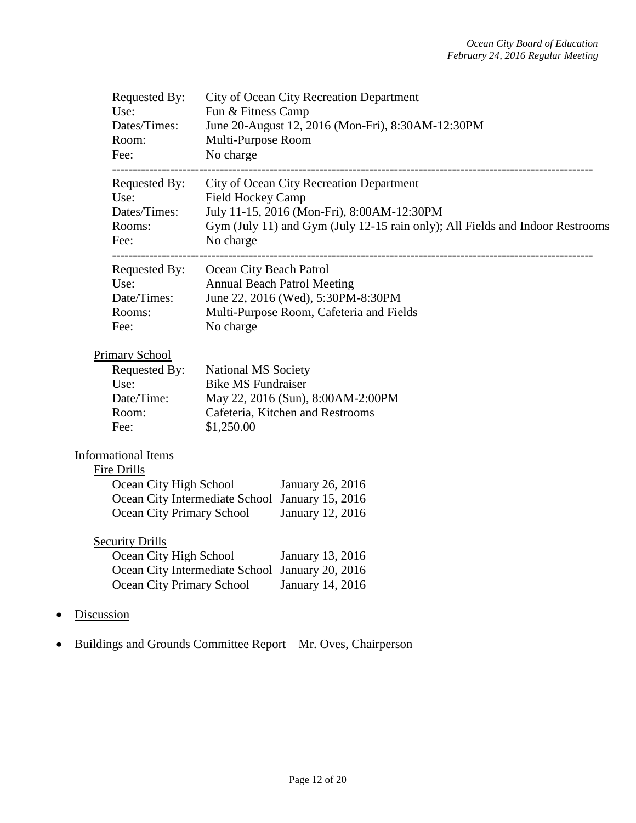| Requested By:<br>Use:<br>Dates/Times:<br>Room: |                                                  | City of Ocean City Recreation Department<br>Fun & Fitness Camp<br>June 20-August 12, 2016 (Mon-Fri), 8:30AM-12:30PM<br>Multi-Purpose Room |  |  |
|------------------------------------------------|--------------------------------------------------|-------------------------------------------------------------------------------------------------------------------------------------------|--|--|
| Fee:<br>---------------------                  | No charge                                        |                                                                                                                                           |  |  |
| Requested By:<br>Use:                          |                                                  | City of Ocean City Recreation Department<br>Field Hockey Camp                                                                             |  |  |
| Dates/Times:                                   |                                                  | July 11-15, 2016 (Mon-Fri), 8:00AM-12:30PM                                                                                                |  |  |
| Rooms:                                         |                                                  | Gym (July 11) and Gym (July 12-15 rain only); All Fields and Indoor Restrooms                                                             |  |  |
| Fee:                                           | No charge                                        |                                                                                                                                           |  |  |
| Requested By:                                  | ---------------------<br>Ocean City Beach Patrol |                                                                                                                                           |  |  |
| Use:                                           |                                                  | <b>Annual Beach Patrol Meeting</b>                                                                                                        |  |  |
| Date/Times:                                    |                                                  | June 22, 2016 (Wed), 5:30PM-8:30PM                                                                                                        |  |  |
| Rooms:                                         |                                                  | Multi-Purpose Room, Cafeteria and Fields                                                                                                  |  |  |
| Fee:                                           | No charge                                        |                                                                                                                                           |  |  |
| <b>Primary School</b>                          |                                                  |                                                                                                                                           |  |  |
| Requested By:                                  | National MS Society                              |                                                                                                                                           |  |  |
| Use:                                           | <b>Bike MS Fundraiser</b>                        |                                                                                                                                           |  |  |
| Date/Time:                                     |                                                  | May 22, 2016 (Sun), 8:00AM-2:00PM                                                                                                         |  |  |
| Room:                                          |                                                  | Cafeteria, Kitchen and Restrooms                                                                                                          |  |  |
| Fee:                                           | \$1,250.00                                       |                                                                                                                                           |  |  |
| <b>Informational Items</b>                     |                                                  |                                                                                                                                           |  |  |
| Fire Drills                                    |                                                  |                                                                                                                                           |  |  |
|                                                | Ocean City High School                           | January 26, 2016                                                                                                                          |  |  |
|                                                | Ocean City Intermediate School January 15, 2016  |                                                                                                                                           |  |  |
|                                                | Ocean City Primary School                        | January 12, 2016                                                                                                                          |  |  |
| <b>Security Drills</b>                         |                                                  |                                                                                                                                           |  |  |
|                                                | Ocean City High School                           | January 13, 2016                                                                                                                          |  |  |
|                                                | Ocean City Intermediate School January 20, 2016  |                                                                                                                                           |  |  |
|                                                | Ocean City Primary School                        | January 14, 2016                                                                                                                          |  |  |
| Discussion                                     |                                                  |                                                                                                                                           |  |  |

• Buildings and Grounds Committee Report – Mr. Oves, Chairperson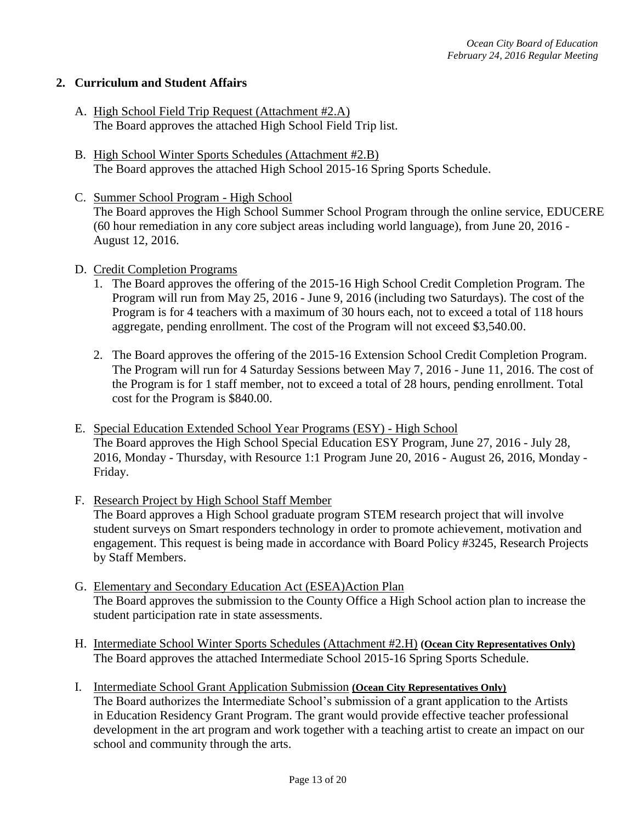### **2. Curriculum and Student Affairs**

- A. High School Field Trip Request (Attachment #2.A) The Board approves the attached High School Field Trip list.
- B. High School Winter Sports Schedules (Attachment #2.B) The Board approves the attached High School 2015-16 Spring Sports Schedule.
- C. Summer School Program High School The Board approves the High School Summer School Program through the online service, EDUCERE (60 hour remediation in any core subject areas including world language), from June 20, 2016 - August 12, 2016.
- D. Credit Completion Programs
	- 1. The Board approves the offering of the 2015-16 High School Credit Completion Program. The Program will run from May 25, 2016 - June 9, 2016 (including two Saturdays). The cost of the Program is for 4 teachers with a maximum of 30 hours each, not to exceed a total of 118 hours aggregate, pending enrollment. The cost of the Program will not exceed \$3,540.00.
	- 2. The Board approves the offering of the 2015-16 Extension School Credit Completion Program. The Program will run for 4 Saturday Sessions between May 7, 2016 - June 11, 2016. The cost of the Program is for 1 staff member, not to exceed a total of 28 hours, pending enrollment. Total cost for the Program is \$840.00.
- E. Special Education Extended School Year Programs (ESY) High School The Board approves the High School Special Education ESY Program, June 27, 2016 - July 28, 2016, Monday - Thursday, with Resource 1:1 Program June 20, 2016 - August 26, 2016, Monday - Friday.
- F. Research Project by High School Staff Member The Board approves a High School graduate program STEM research project that will involve student surveys on Smart responders technology in order to promote achievement, motivation and engagement. This request is being made in accordance with Board Policy #3245, Research Projects by Staff Members.
- G. Elementary and Secondary Education Act (ESEA)Action Plan The Board approves the submission to the County Office a High School action plan to increase the student participation rate in state assessments.
- H. Intermediate School Winter Sports Schedules (Attachment #2.H) **(Ocean City Representatives Only)** The Board approves the attached Intermediate School 2015-16 Spring Sports Schedule.
- I. Intermediate School Grant Application Submission **(Ocean City Representatives Only)** The Board authorizes the Intermediate School's submission of a grant application to the Artists in Education Residency Grant Program. The grant would provide effective teacher professional development in the art program and work together with a teaching artist to create an impact on our school and community through the arts.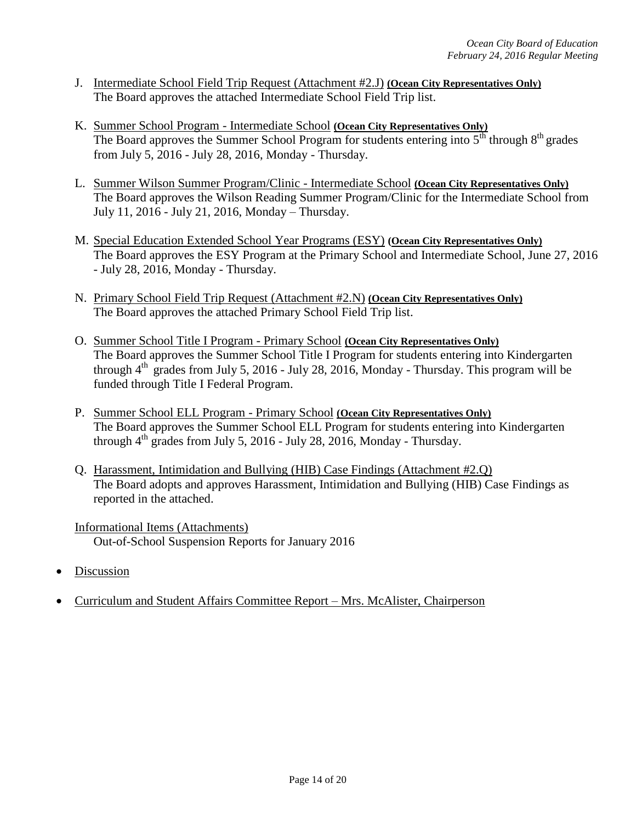- J. Intermediate School Field Trip Request (Attachment #2.J) **(Ocean City Representatives Only)** The Board approves the attached Intermediate School Field Trip list.
- K. Summer School Program Intermediate School **(Ocean City Representatives Only)** The Board approves the Summer School Program for students entering into  $5<sup>th</sup>$  through  $8<sup>th</sup>$  grades from July 5, 2016 - July 28, 2016, Monday - Thursday.
- L. Summer Wilson Summer Program/Clinic Intermediate School **(Ocean City Representatives Only)** The Board approves the Wilson Reading Summer Program/Clinic for the Intermediate School from July 11, 2016 - July 21, 2016, Monday – Thursday.
- M. Special Education Extended School Year Programs (ESY) **(Ocean City Representatives Only)**  The Board approves the ESY Program at the Primary School and Intermediate School, June 27, 2016 - July 28, 2016, Monday - Thursday.
- N. Primary School Field Trip Request (Attachment #2.N) **(Ocean City Representatives Only)** The Board approves the attached Primary School Field Trip list.
- O. Summer School Title I Program Primary School **(Ocean City Representatives Only)** The Board approves the Summer School Title I Program for students entering into Kindergarten through  $4^{th}$  grades from July 5, 2016 - July 28, 2016, Monday - Thursday. This program will be funded through Title I Federal Program.
- P. Summer School ELL Program Primary School **(Ocean City Representatives Only)** The Board approves the Summer School ELL Program for students entering into Kindergarten through  $4^{th}$  grades from July 5, 2016 - July 28, 2016, Monday - Thursday.
- Q. Harassment, Intimidation and Bullying (HIB) Case Findings (Attachment #2.Q) The Board adopts and approves Harassment, Intimidation and Bullying (HIB) Case Findings as reported in the attached.
- Informational Items (Attachments) Out-of-School Suspension Reports for January 2016
- Discussion
- Curriculum and Student Affairs Committee Report Mrs. McAlister, Chairperson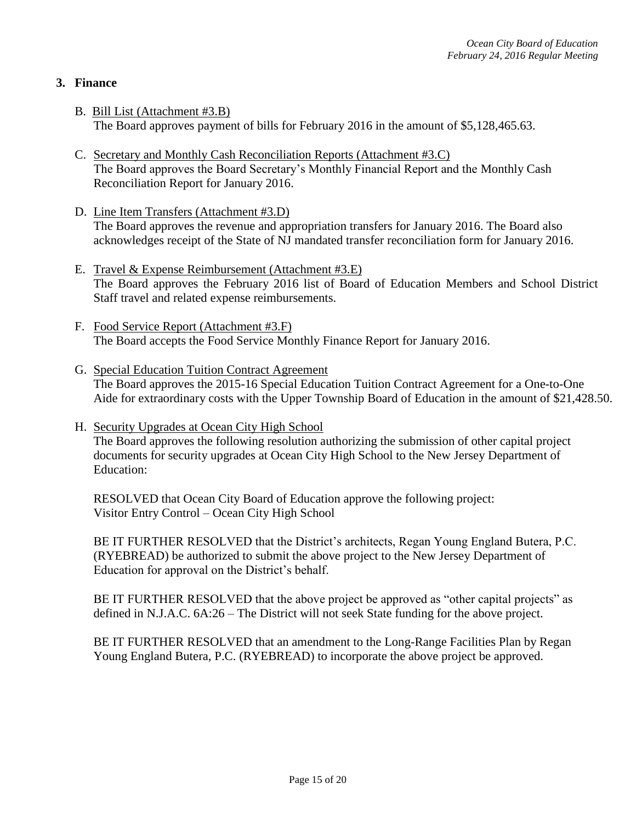## **3. Finance**

- B. Bill List (Attachment #3.B) The Board approves payment of bills for February 2016 in the amount of \$5,128,465.63.
- C. Secretary and Monthly Cash Reconciliation Reports (Attachment #3.C) The Board approves the Board Secretary's Monthly Financial Report and the Monthly Cash Reconciliation Report for January 2016.
- D. Line Item Transfers (Attachment #3.D) The Board approves the revenue and appropriation transfers for January 2016. The Board also acknowledges receipt of the State of NJ mandated transfer reconciliation form for January 2016.
- E. Travel & Expense Reimbursement (Attachment #3.E) The Board approves the February 2016 list of Board of Education Members and School District Staff travel and related expense reimbursements.
- F. Food Service Report (Attachment #3.F) The Board accepts the Food Service Monthly Finance Report for January 2016.
- G. Special Education Tuition Contract Agreement The Board approves the 2015-16 Special Education Tuition Contract Agreement for a One-to-One Aide for extraordinary costs with the Upper Township Board of Education in the amount of \$21,428.50.
- H. Security Upgrades at Ocean City High School The Board approves the following resolution authorizing the submission of other capital project documents for security upgrades at Ocean City High School to the New Jersey Department of Education:

RESOLVED that Ocean City Board of Education approve the following project: Visitor Entry Control – Ocean City High School

BE IT FURTHER RESOLVED that the District's architects, Regan Young England Butera, P.C. (RYEBREAD) be authorized to submit the above project to the New Jersey Department of Education for approval on the District's behalf.

BE IT FURTHER RESOLVED that the above project be approved as "other capital projects" as defined in N.J.A.C. 6A:26 – The District will not seek State funding for the above project.

BE IT FURTHER RESOLVED that an amendment to the Long-Range Facilities Plan by Regan Young England Butera, P.C. (RYEBREAD) to incorporate the above project be approved.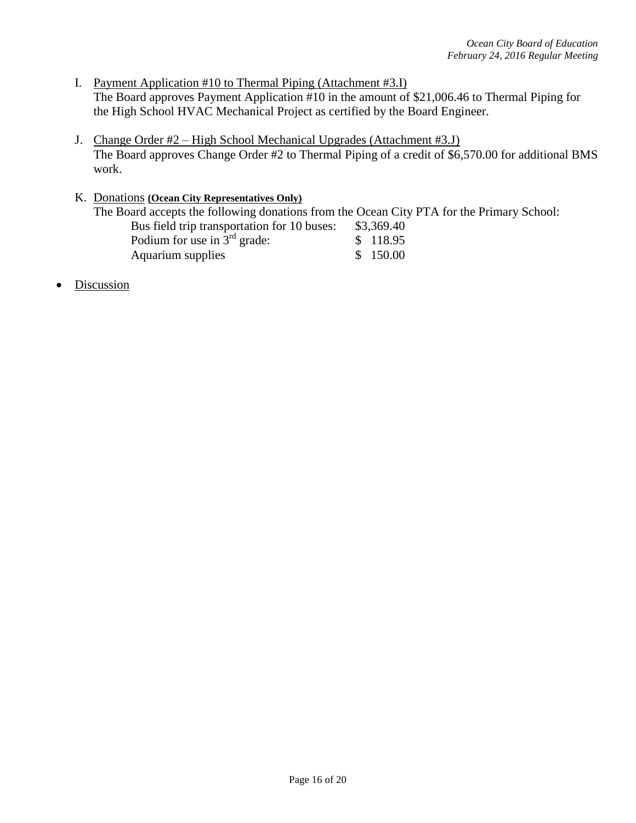- I. Payment Application #10 to Thermal Piping (Attachment #3.I) The Board approves Payment Application #10 in the amount of \$21,006.46 to Thermal Piping for the High School HVAC Mechanical Project as certified by the Board Engineer.
- J. Change Order #2 High School Mechanical Upgrades (Attachment #3.J) The Board approves Change Order #2 to Thermal Piping of a credit of \$6,570.00 for additional BMS work.

## K. Donations **(Ocean City Representatives Only)** The Board accepts the following donations from the Ocean City PTA for the Primary School: Bus field trip transportation for 10 buses: \$3,369.40 Podium for use in  $3^{rd}$  grade:  $$ 118.95$ <br>Aquarium supplies  $$ 150.00$ Aquarium supplies

Discussion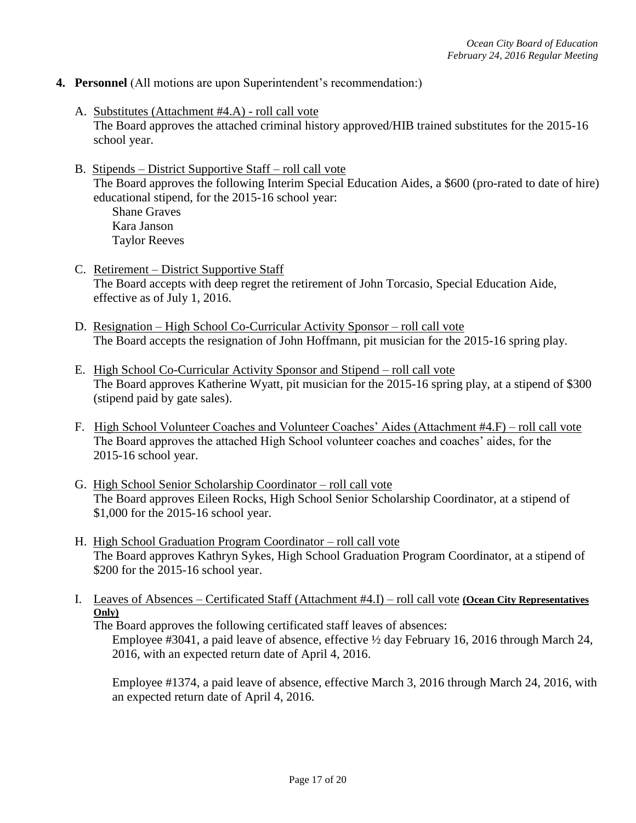- **4. Personnel** (All motions are upon Superintendent's recommendation:)
	- A. Substitutes (Attachment #4.A) roll call vote The Board approves the attached criminal history approved/HIB trained substitutes for the 2015-16 school year.
	- B. Stipends District Supportive Staff roll call vote The Board approves the following Interim Special Education Aides, a \$600 (pro-rated to date of hire) educational stipend, for the 2015-16 school year: Shane Graves

Kara Janson Taylor Reeves

- C. Retirement District Supportive Staff The Board accepts with deep regret the retirement of John Torcasio, Special Education Aide, effective as of July 1, 2016.
- D. Resignation High School Co-Curricular Activity Sponsor roll call vote The Board accepts the resignation of John Hoffmann, pit musician for the 2015-16 spring play.
- E. High School Co-Curricular Activity Sponsor and Stipend roll call vote The Board approves Katherine Wyatt, pit musician for the 2015-16 spring play, at a stipend of \$300 (stipend paid by gate sales).
- F. High School Volunteer Coaches and Volunteer Coaches' Aides (Attachment #4.F) roll call vote The Board approves the attached High School volunteer coaches and coaches' aides, for the 2015-16 school year.
- G. High School Senior Scholarship Coordinator roll call vote The Board approves Eileen Rocks, High School Senior Scholarship Coordinator, at a stipend of \$1,000 for the 2015-16 school year.
- H. High School Graduation Program Coordinator roll call vote The Board approves Kathryn Sykes*,* High School Graduation Program Coordinator, at a stipend of \$200 for the 2015-16 school year.
- I. Leaves of Absences Certificated Staff (Attachment #4.I) roll call vote **(Ocean City Representatives Only)**

The Board approves the following certificated staff leaves of absences:

Employee #3041, a paid leave of absence, effective ½ day February 16, 2016 through March 24, 2016, with an expected return date of April 4, 2016.

Employee #1374, a paid leave of absence, effective March 3, 2016 through March 24, 2016, with an expected return date of April 4, 2016.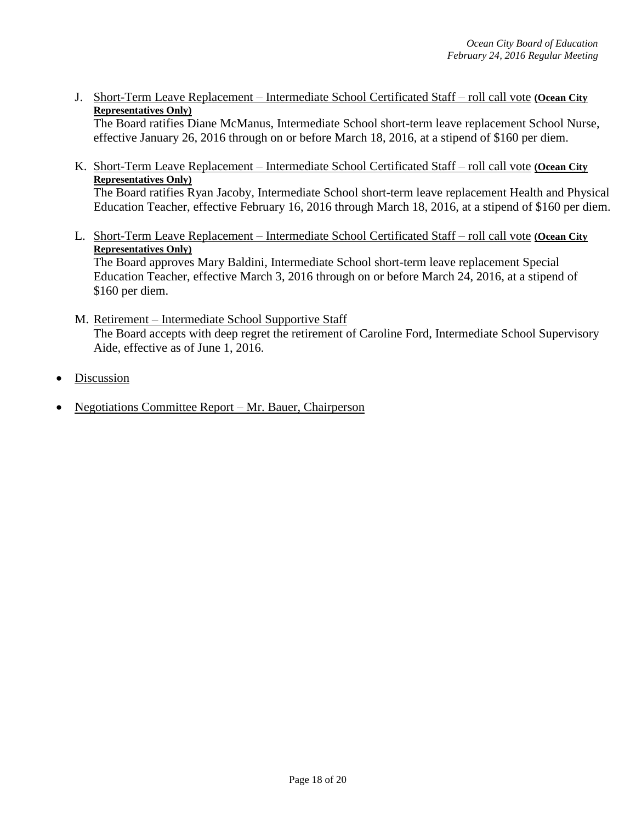J. Short-Term Leave Replacement – Intermediate School Certificated Staff – roll call vote **(Ocean City Representatives Only)**

The Board ratifies Diane McManus, Intermediate School short-term leave replacement School Nurse, effective January 26, 2016 through on or before March 18, 2016, at a stipend of \$160 per diem.

K. Short-Term Leave Replacement – Intermediate School Certificated Staff – roll call vote **(Ocean City Representatives Only)**

The Board ratifies Ryan Jacoby*,* Intermediate School short-term leave replacement Health and Physical Education Teacher, effective February 16, 2016 through March 18, 2016, at a stipend of \$160 per diem.

L. Short-Term Leave Replacement – Intermediate School Certificated Staff – roll call vote **(Ocean City Representatives Only)** The Board approves Mary Baldini*,* Intermediate School short-term leave replacement Special

Education Teacher, effective March 3, 2016 through on or before March 24, 2016, at a stipend of \$160 per diem.

- M. Retirement Intermediate School Supportive Staff The Board accepts with deep regret the retirement of Caroline Ford, Intermediate School Supervisory Aide, effective as of June 1, 2016.
- Discussion
- Negotiations Committee Report Mr. Bauer, Chairperson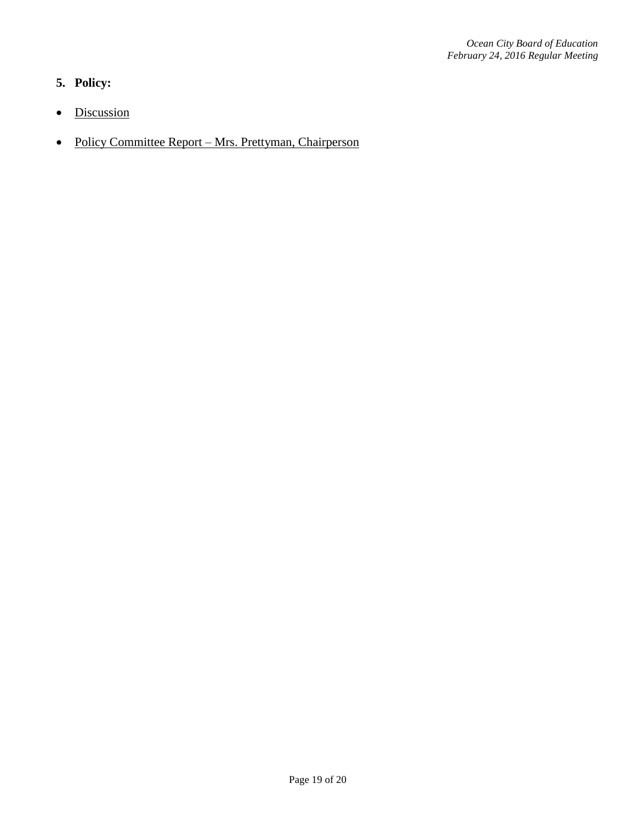# **5. Policy:**

- Discussion
- Policy Committee Report Mrs. Prettyman, Chairperson